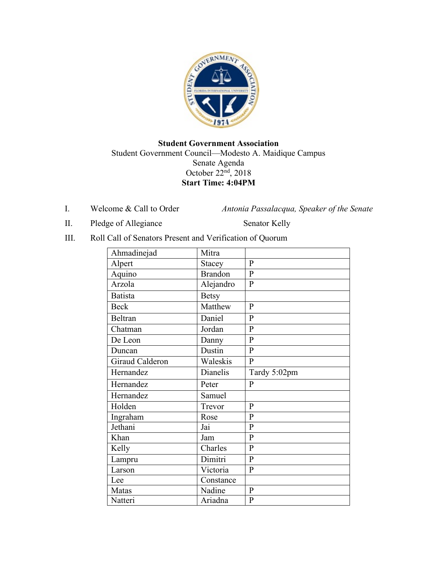

# **Student Government Association** Student Government Council—Modesto A. Maidique Campus Senate Agenda October 22nd, 2018 **Start Time: 4:04PM**

I. Welcome & Call to Order *Antonia Passalacqua, Speaker of the Senate* 

II. Pledge of Allegiance Senator Kelly

III. Roll Call of Senators Present and Verification of Quorum

| Ahmadinejad     | Mitra          |                |
|-----------------|----------------|----------------|
| Alpert          | <b>Stacey</b>  | $\mathbf{P}$   |
| Aquino          | <b>Brandon</b> | $\overline{P}$ |
| Arzola          | Alejandro      | $\mathbf{P}$   |
| <b>Batista</b>  | <b>Betsy</b>   |                |
| <b>Beck</b>     | Matthew        | $\mathbf{P}$   |
| Beltran         | Daniel         | $\mathbf{P}$   |
| Chatman         | Jordan         | $\mathbf{P}$   |
| De Leon         | Danny          | $\mathbf{P}$   |
| Duncan          | Dustin         | $\overline{P}$ |
| Giraud Calderon | Waleskis       | $\mathbf{P}$   |
| Hernandez       | Dianelis       | Tardy 5:02pm   |
| Hernandez       | Peter          | $\mathbf{P}$   |
| Hernandez       | Samuel         |                |
| Holden          | Trevor         | $\mathbf{P}$   |
| Ingraham        | Rose           | $\mathbf{P}$   |
| Jethani         | Jai            | $\mathbf{P}$   |
| Khan            | Jam            | $\overline{P}$ |
| Kelly           | Charles        | $\mathbf{P}$   |
| Lampru          | Dimitri        | $\overline{P}$ |
| Larson          | Victoria       | $\mathbf{P}$   |
| Lee             | Constance      |                |
| Matas           | Nadine         | $\, {\bf p}$   |
| Natteri         | Ariadna        | $\mathbf{P}$   |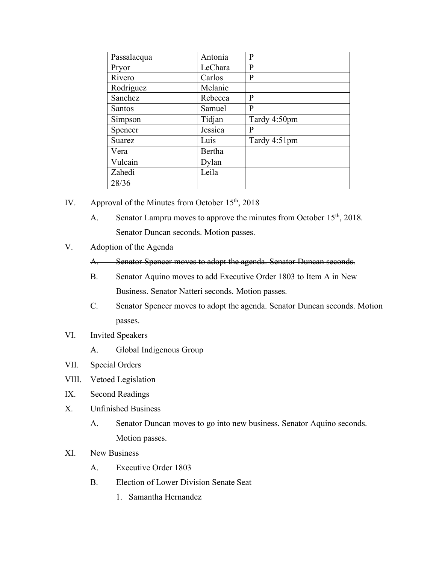| Passalacqua   | Antonia | P            |
|---------------|---------|--------------|
| Pryor         | LeChara | P            |
| Rivero        | Carlos  | P            |
| Rodriguez     | Melanie |              |
| Sanchez       | Rebecca | P            |
| <b>Santos</b> | Samuel  | P            |
| Simpson       | Tidjan  | Tardy 4:50pm |
| Spencer       | Jessica | P            |
| <b>Suarez</b> | Luis    | Tardy 4:51pm |
| Vera          | Bertha  |              |
| Vulcain       | Dylan   |              |
| Zahedi        | Leila   |              |
| 28/36         |         |              |

- IV. Approval of the Minutes from October  $15<sup>th</sup>$ , 2018
	- A. Senator Lampru moves to approve the minutes from October 15<sup>th</sup>, 2018. Senator Duncan seconds. Motion passes.
- V. Adoption of the Agenda

A. Senator Spencer moves to adopt the agenda. Senator Duncan seconds.

- B. Senator Aquino moves to add Executive Order 1803 to Item A in New Business. Senator Natteri seconds. Motion passes.
- C. Senator Spencer moves to adopt the agenda. Senator Duncan seconds. Motion passes.
- VI. Invited Speakers
	- A. Global Indigenous Group
- VII. Special Orders
- VIII. Vetoed Legislation
- IX. Second Readings
- X. Unfinished Business
	- A. Senator Duncan moves to go into new business. Senator Aquino seconds. Motion passes.
- XI. New Business
	- A. Executive Order 1803
	- B. Election of Lower Division Senate Seat
		- 1. Samantha Hernandez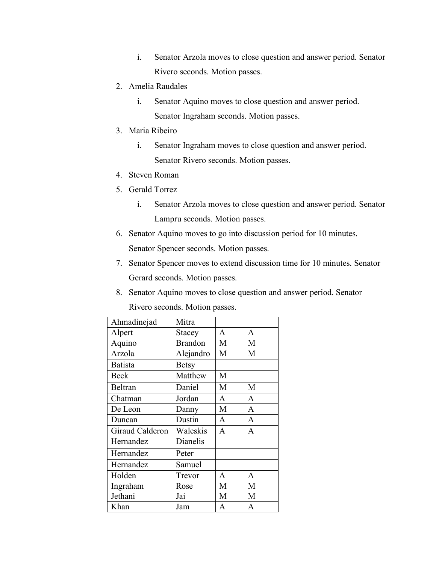- i. Senator Arzola moves to close question and answer period. Senator Rivero seconds. Motion passes.
- 2. Amelia Raudales
	- i. Senator Aquino moves to close question and answer period. Senator Ingraham seconds. Motion passes.
- 3. Maria Ribeiro
	- i. Senator Ingraham moves to close question and answer period. Senator Rivero seconds. Motion passes.
- 4. Steven Roman
- 5. Gerald Torrez
	- i. Senator Arzola moves to close question and answer period. Senator Lampru seconds. Motion passes.
- 6. Senator Aquino moves to go into discussion period for 10 minutes. Senator Spencer seconds. Motion passes.
- 7. Senator Spencer moves to extend discussion time for 10 minutes. Senator Gerard seconds. Motion passes.
- 8. Senator Aquino moves to close question and answer period. Senator Rivero seconds. Motion passes.

| Ahmadinejad     | Mitra          |              |              |
|-----------------|----------------|--------------|--------------|
| Alpert          | Stacey         | A            | A            |
| Aquino          | <b>Brandon</b> | M            | M            |
| Arzola          | Alejandro      | M            | M            |
| <b>Batista</b>  | <b>Betsy</b>   |              |              |
| <b>Beck</b>     | Matthew        | M            |              |
| Beltran         | Daniel         | M            | M            |
| Chatman         | Jordan         | $\mathbf{A}$ | $\mathbf{A}$ |
| De Leon         | Danny          | M            | $\mathbf{A}$ |
| Duncan          | Dustin         | $\mathbf{A}$ | $\mathbf{A}$ |
| Giraud Calderon | Waleskis       | A            | A            |
| Hernandez       | Dianelis       |              |              |
| Hernandez       | Peter          |              |              |
| Hernandez       | Samuel         |              |              |
| Holden          | Trevor         | A            | A            |
| Ingraham        | Rose           | M            | M            |
| Jethani         | Jai            | M            | M            |
| Khan            | Jam            | A            | $\mathbf{A}$ |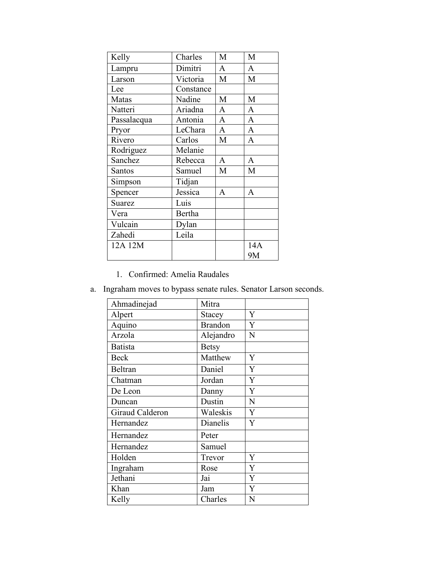| Kelly       | Charles   | M            | M            |
|-------------|-----------|--------------|--------------|
| Lampru      | Dimitri   | A            | $\mathbf{A}$ |
| Larson      | Victoria  | M            | M            |
| Lee         | Constance |              |              |
| Matas       | Nadine    | M            | M            |
| Natteri     | Ariadna   | $\mathbf{A}$ | $\mathbf{A}$ |
| Passalacqua | Antonia   | $\mathbf{A}$ | $\mathbf{A}$ |
| Pryor       | LeChara   | $\mathbf{A}$ | $\mathbf{A}$ |
| Rivero      | Carlos    | M            | $\mathbf{A}$ |
| Rodriguez   | Melanie   |              |              |
| Sanchez     | Rebecca   | $\mathbf{A}$ | $\mathbf{A}$ |
| Santos      | Samuel    | M            | M            |
| Simpson     | Tidjan    |              |              |
| Spencer     | Jessica   | A            | A            |
| Suarez      | Luis      |              |              |
| Vera        | Bertha    |              |              |
| Vulcain     | Dylan     |              |              |
| Zahedi      | Leila     |              |              |
| 12A 12M     |           |              | 14A          |
|             |           |              | 9M           |

1. Confirmed: Amelia Raudales

|  |  |  |  |  | a. Ingraham moves to bypass senate rules. Senator Larson seconds. |  |  |  |
|--|--|--|--|--|-------------------------------------------------------------------|--|--|--|
|--|--|--|--|--|-------------------------------------------------------------------|--|--|--|

| Ahmadinejad     | Mitra          |   |
|-----------------|----------------|---|
| Alpert          | Stacey         | Y |
| Aquino          | <b>Brandon</b> | Y |
| Arzola          | Alejandro      | N |
| <b>Batista</b>  | <b>Betsy</b>   |   |
| <b>Beck</b>     | Matthew        | Y |
| <b>Beltran</b>  | Daniel         | Y |
| Chatman         | Jordan         | Y |
| De Leon         | Danny          | Y |
| Duncan          | Dustin         | N |
| Giraud Calderon | Waleskis       | Y |
| Hernandez       | Dianelis       | Y |
| Hernandez       | Peter          |   |
| Hernandez       | Samuel         |   |
| Holden          | Trevor         | Y |
| Ingraham        | Rose           | Y |
| Jethani         | Jai            | Y |
| Khan            | Jam            | Y |
| Kelly           | Charles        | N |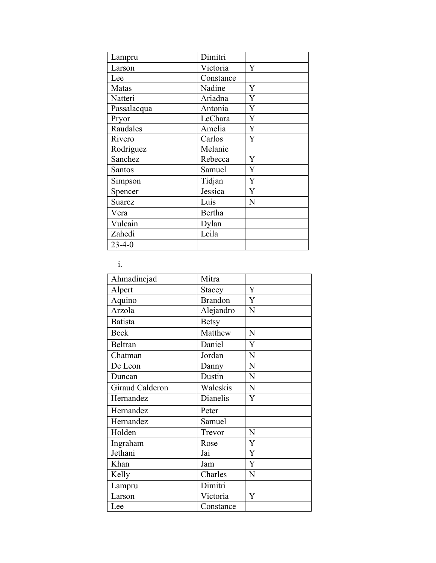| Lampru        | Dimitri   |                |
|---------------|-----------|----------------|
| Larson        | Victoria  | Y              |
| Lee           | Constance |                |
| Matas         | Nadine    | Y              |
| Natteri       | Ariadna   | $\overline{Y}$ |
| Passalacqua   | Antonia   | Y              |
| Pryor         | LeChara   | Y              |
| Raudales      | Amelia    | Y              |
| Rivero        | Carlos    | Y              |
| Rodriguez     | Melanie   |                |
| Sanchez       | Rebecca   | Y              |
| Santos        | Samuel    | Y              |
| Simpson       | Tidjan    | Y              |
| Spencer       | Jessica   | Y              |
| <b>Suarez</b> | Luis      | N              |
| Vera          | Bertha    |                |
| Vulcain       | Dylan     |                |
| Zahedi        | Leila     |                |
| $23 - 4 - 0$  |           |                |

i.

| Ahmadinejad     | Mitra          |                |
|-----------------|----------------|----------------|
| Alpert          | Stacey         | Y              |
| Aquino          | <b>Brandon</b> | $\overline{Y}$ |
| Arzola          | Alejandro      | N              |
| <b>Batista</b>  | <b>Betsy</b>   |                |
| <b>Beck</b>     | Matthew        | N              |
| Beltran         | Daniel         | Y              |
| Chatman         | Jordan         | N              |
| De Leon         | Danny          | N              |
| Duncan          | Dustin         | N              |
| Giraud Calderon | Waleskis       | ${\bf N}$      |
| Hernandez       | Dianelis       | Y              |
| Hernandez       | Peter          |                |
| Hernandez       | Samuel         |                |
| Holden          | Trevor         | N              |
| Ingraham        | Rose           | Y              |
| Jethani         | Jai            | Y              |
| Khan            | Jam            | Y              |
| Kelly           | Charles        | N              |
| Lampru          | Dimitri        |                |
| Larson          | Victoria       | Y              |
| Lee             | Constance      |                |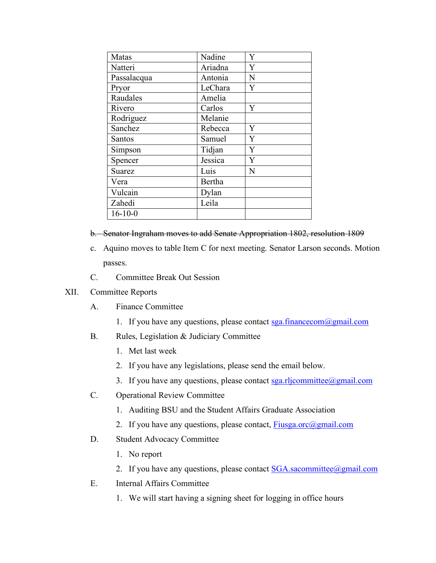| Matas         | Nadine  | Y |
|---------------|---------|---|
| Natteri       | Ariadna | Y |
| Passalacqua   | Antonia | N |
| Pryor         | LeChara | Y |
| Raudales      | Amelia  |   |
| Rivero        | Carlos  | Y |
| Rodriguez     | Melanie |   |
| Sanchez       | Rebecca | Y |
| <b>Santos</b> | Samuel  | Y |
| Simpson       | Tidjan  | Y |
| Spencer       | Jessica | Y |
| <b>Suarez</b> | Luis    | N |
| Vera          | Bertha  |   |
| Vulcain       | Dylan   |   |
| Zahedi        | Leila   |   |
| $16 - 10 - 0$ |         |   |

- b. Senator Ingraham moves to add Senate Appropriation 1802, resolution 1809
- c. Aquino moves to table Item C for next meeting. Senator Larson seconds. Motion passes.
- C. Committee Break Out Session

#### XII. Committee Reports

- A. Finance Committee
	- 1. If you have any questions, please contact  $sga$  financecom $@gmail.com$
- B. Rules, Legislation & Judiciary Committee
	- 1. Met last week
	- 2. If you have any legislations, please send the email below.
	- 3. If you have any questions, please contact  $sga.rlicommitte@gmail.com$
- C. Operational Review Committee
	- 1. Auditing BSU and the Student Affairs Graduate Association
	- 2. If you have any questions, please contact, Fiusga.orc@gmail.com
- D. Student Advocacy Committee
	- 1. No report
	- 2. If you have any questions, please contact  $SGA$ . sacommittee  $@g$  mail.com
- E. Internal Affairs Committee
	- 1. We will start having a signing sheet for logging in office hours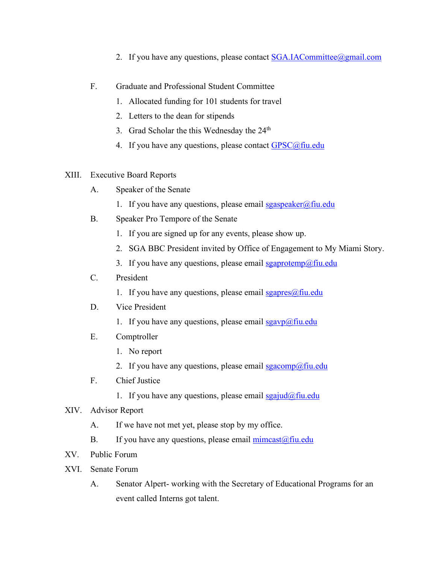- 2. If you have any questions, please contact SGA.IACommittee@gmail.com
- F. Graduate and Professional Student Committee
	- 1. Allocated funding for 101 students for travel
	- 2. Letters to the dean for stipends
	- 3. Grad Scholar the this Wednesday the 24<sup>th</sup>
	- 4. If you have any questions, please contact  $GPSC@$  fiu.edu

## XIII. Executive Board Reports

- A. Speaker of the Senate
	- 1. If you have any questions, please email  $sgaspeaker@final$
- B. Speaker Pro Tempore of the Senate
	- 1. If you are signed up for any events, please show up.
	- 2. SGA BBC President invited by Office of Engagement to My Miami Story.
	- 3. If you have any questions, please email  $sga$  protemp $@$ fiu.edu

# C. President

1. If you have any questions, please email  $sgapres(\omega f\text{in.edu})$ 

## D. Vice President

- 1. If you have any questions, please email  $sgavp(\omega)$  fiu.edu
- E. Comptroller
	- 1. No report
	- 2. If you have any questions, please email  $\frac{g_{\alpha\alpha}}{g_{\alpha\alpha}}$   $\frac{g_{\alpha\alpha}}{g_{\alpha\alpha}}$
- F. Chief Justice
	- 1. If you have any questions, please email sgajud@fiu.edu
- XIV. Advisor Report
	- A. If we have not met yet, please stop by my office.
	- B. If you have any questions, please email  $\frac{\text{mincast}(\partial f\text{in.edu})}{\text{mincast}(\partial f\text{in.edu})}$
- XV. Public Forum
- XVI. Senate Forum
	- A. Senator Alpert- working with the Secretary of Educational Programs for an event called Interns got talent.